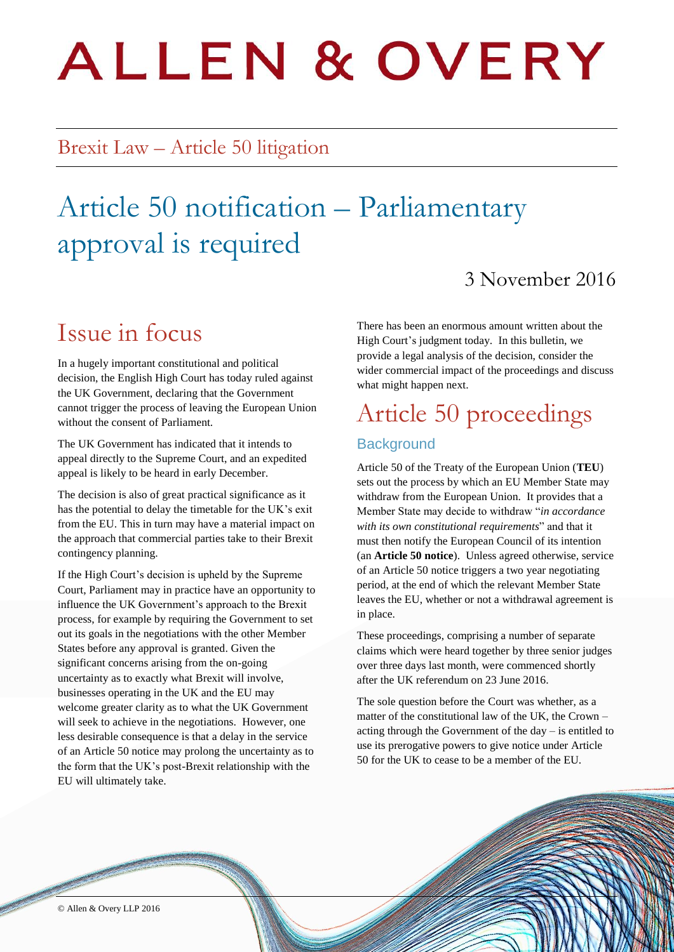# **ALLEN & OVERY**

## Brexit Law – Article 50 litigation

# Article 50 notification – Parliamentary approval is required

### 3 November 2016

## Issue in focus

In a hugely important constitutional and political decision, the English High Court has today ruled against the UK Government, declaring that the Government cannot trigger the process of leaving the European Union without the consent of Parliament.

The UK Government has indicated that it intends to appeal directly to the Supreme Court, and an expedited appeal is likely to be heard in early December.

The decision is also of great practical significance as it has the potential to delay the timetable for the UK's exit from the EU. This in turn may have a material impact on the approach that commercial parties take to their Brexit contingency planning.

If the High Court's decision is upheld by the Supreme Court, Parliament may in practice have an opportunity to influence the UK Government's approach to the Brexit process, for example by requiring the Government to set out its goals in the negotiations with the other Member States before any approval is granted. Given the significant concerns arising from the on-going uncertainty as to exactly what Brexit will involve, businesses operating in the UK and the EU may welcome greater clarity as to what the UK Government will seek to achieve in the negotiations. However, one less desirable consequence is that a delay in the service of an Article 50 notice may prolong the uncertainty as to the form that the UK's post-Brexit relationship with the EU will ultimately take.

There has been an enormous amount written about the High Court's judgment today. In this bulletin, we provide a legal analysis of the decision, consider the wider commercial impact of the proceedings and discuss what might happen next.

## Article 50 proceedings

#### **Background**

Article 50 of the Treaty of the European Union (**TEU**) sets out the process by which an EU Member State may withdraw from the European Union. It provides that a Member State may decide to withdraw "*in accordance with its own constitutional requirements*" and that it must then notify the European Council of its intention (an **Article 50 notice**). Unless agreed otherwise, service of an Article 50 notice triggers a two year negotiating period, at the end of which the relevant Member State leaves the EU, whether or not a withdrawal agreement is in place.

These proceedings, comprising a number of separate claims which were heard together by three senior judges over three days last month, were commenced shortly after the UK referendum on 23 June 2016.

The sole question before the Court was whether, as a matter of the constitutional law of the UK, the Crown – acting through the Government of the day – is entitled to use its prerogative powers to give notice under Article 50 for the UK to cease to be a member of the EU.

© Allen & Overy LLP 2016 1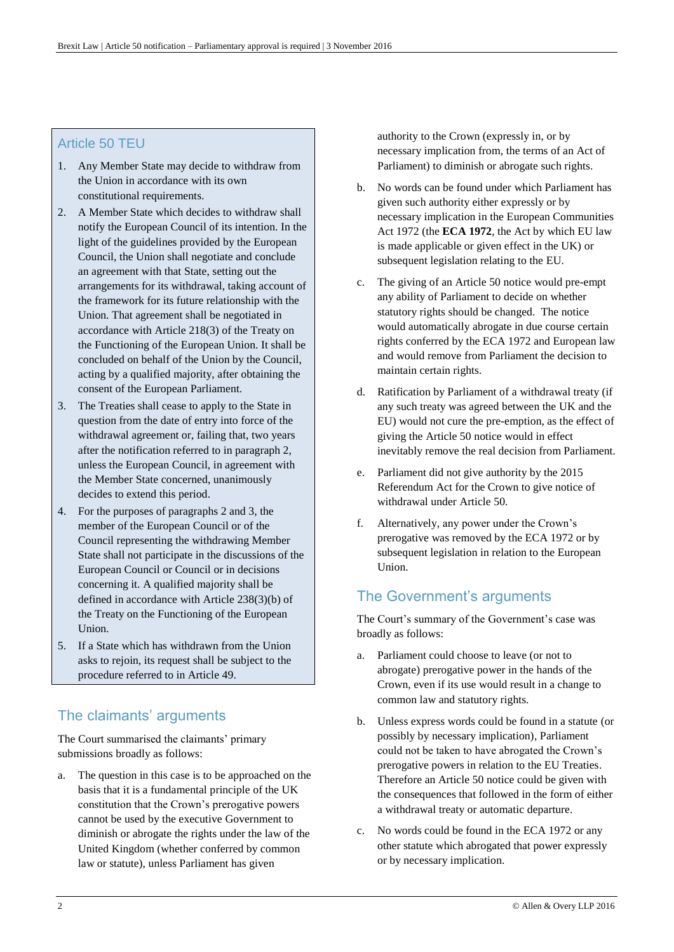#### Article 50 TEU

- 1. Any Member State may decide to withdraw from the Union in accordance with its own constitutional requirements.
- 2. A Member State which decides to withdraw shall notify the European Council of its intention. In the light of the guidelines provided by the European Council, the Union shall negotiate and conclude an agreement with that State, setting out the arrangements for its withdrawal, taking account of the framework for its future relationship with the Union. That agreement shall be negotiated in accordance with Article 218(3) of the Treaty on the Functioning of the European Union. It shall be concluded on behalf of the Union by the Council, acting by a qualified majority, after obtaining the consent of the European Parliament.
- 3. The Treaties shall cease to apply to the State in question from the date of entry into force of the withdrawal agreement or, failing that, two years after the notification referred to in paragraph 2, unless the European Council, in agreement with the Member State concerned, unanimously decides to extend this period.
- 4. For the purposes of paragraphs 2 and 3, the member of the European Council or of the Council representing the withdrawing Member State shall not participate in the discussions of the European Council or Council or in decisions concerning it. A qualified majority shall be defined in accordance with Article 238(3)(b) of the Treaty on the Functioning of the European Union.
- 5. If a State which has withdrawn from the Union asks to rejoin, its request shall be subject to the procedure referred to in Article 49.

#### The claimants' arguments

The Court summarised the claimants' primary submissions broadly as follows:

a. The question in this case is to be approached on the basis that it is a fundamental principle of the UK constitution that the Crown's prerogative powers cannot be used by the executive Government to diminish or abrogate the rights under the law of the United Kingdom (whether conferred by common law or statute), unless Parliament has given

authority to the Crown (expressly in, or by necessary implication from, the terms of an Act of Parliament) to diminish or abrogate such rights.

- b. No words can be found under which Parliament has given such authority either expressly or by necessary implication in the European Communities Act 1972 (the **ECA 1972**, the Act by which EU law is made applicable or given effect in the UK) or subsequent legislation relating to the EU.
- c. The giving of an Article 50 notice would pre-empt any ability of Parliament to decide on whether statutory rights should be changed. The notice would automatically abrogate in due course certain rights conferred by the ECA 1972 and European law and would remove from Parliament the decision to maintain certain rights.
- d. Ratification by Parliament of a withdrawal treaty (if any such treaty was agreed between the UK and the EU) would not cure the pre-emption, as the effect of giving the Article 50 notice would in effect inevitably remove the real decision from Parliament.
- e. Parliament did not give authority by the 2015 Referendum Act for the Crown to give notice of withdrawal under Article 50.
- f. Alternatively, any power under the Crown's prerogative was removed by the ECA 1972 or by subsequent legislation in relation to the European Union.

#### The Government's arguments

The Court's summary of the Government's case was broadly as follows:

- a. Parliament could choose to leave (or not to abrogate) prerogative power in the hands of the Crown, even if its use would result in a change to common law and statutory rights.
- b. Unless express words could be found in a statute (or possibly by necessary implication), Parliament could not be taken to have abrogated the Crown's prerogative powers in relation to the EU Treaties. Therefore an Article 50 notice could be given with the consequences that followed in the form of either a withdrawal treaty or automatic departure.
- c. No words could be found in the ECA 1972 or any other statute which abrogated that power expressly or by necessary implication.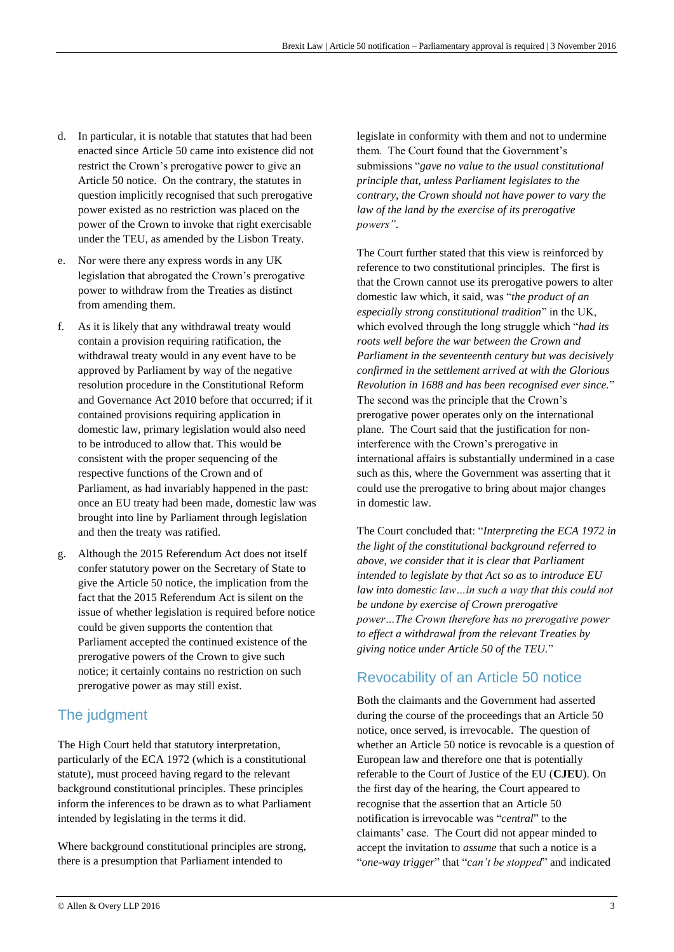- d. In particular, it is notable that statutes that had been enacted since Article 50 came into existence did not restrict the Crown's prerogative power to give an Article 50 notice. On the contrary, the statutes in question implicitly recognised that such prerogative power existed as no restriction was placed on the power of the Crown to invoke that right exercisable under the TEU, as amended by the Lisbon Treaty.
- e. Nor were there any express words in any UK legislation that abrogated the Crown's prerogative power to withdraw from the Treaties as distinct from amending them.
- f. As it is likely that any withdrawal treaty would contain a provision requiring ratification, the withdrawal treaty would in any event have to be approved by Parliament by way of the negative resolution procedure in the Constitutional Reform and Governance Act 2010 before that occurred; if it contained provisions requiring application in domestic law, primary legislation would also need to be introduced to allow that. This would be consistent with the proper sequencing of the respective functions of the Crown and of Parliament, as had invariably happened in the past: once an EU treaty had been made, domestic law was brought into line by Parliament through legislation and then the treaty was ratified.
- Although the 2015 Referendum Act does not itself confer statutory power on the Secretary of State to give the Article 50 notice, the implication from the fact that the 2015 Referendum Act is silent on the issue of whether legislation is required before notice could be given supports the contention that Parliament accepted the continued existence of the prerogative powers of the Crown to give such notice; it certainly contains no restriction on such prerogative power as may still exist.

#### The judgment

The High Court held that statutory interpretation, particularly of the ECA 1972 (which is a constitutional statute), must proceed having regard to the relevant background constitutional principles. These principles inform the inferences to be drawn as to what Parliament intended by legislating in the terms it did.

Where background constitutional principles are strong, there is a presumption that Parliament intended to

legislate in conformity with them and not to undermine them. The Court found that the Government's submissions "*gave no value to the usual constitutional principle that, unless Parliament legislates to the contrary, the Crown should not have power to vary the law of the land by the exercise of its prerogative powers".*

The Court further stated that this view is reinforced by reference to two constitutional principles. The first is that the Crown cannot use its prerogative powers to alter domestic law which, it said, was "*the product of an especially strong constitutional tradition*" in the UK, which evolved through the long struggle which "*had its roots well before the war between the Crown and Parliament in the seventeenth century but was decisively confirmed in the settlement arrived at with the Glorious Revolution in 1688 and has been recognised ever since.*" The second was the principle that the Crown's prerogative power operates only on the international plane. The Court said that the justification for noninterference with the Crown's prerogative in international affairs is substantially undermined in a case such as this, where the Government was asserting that it could use the prerogative to bring about major changes in domestic law.

The Court concluded that: "*Interpreting the ECA 1972 in the light of the constitutional background referred to above, we consider that it is clear that Parliament intended to legislate by that Act so as to introduce EU law into domestic law…in such a way that this could not be undone by exercise of Crown prerogative power…The Crown therefore has no prerogative power to effect a withdrawal from the relevant Treaties by giving notice under Article 50 of the TEU.*"

#### Revocability of an Article 50 notice

Both the claimants and the Government had asserted during the course of the proceedings that an Article 50 notice, once served, is irrevocable. The question of whether an Article 50 notice is revocable is a question of European law and therefore one that is potentially referable to the Court of Justice of the EU (**CJEU**). On the first day of the hearing, the Court appeared to recognise that the assertion that an Article 50 notification is irrevocable was "*central*" to the claimants' case. The Court did not appear minded to accept the invitation to *assume* that such a notice is a "*one-way trigger*" that "*can't be stopped*" and indicated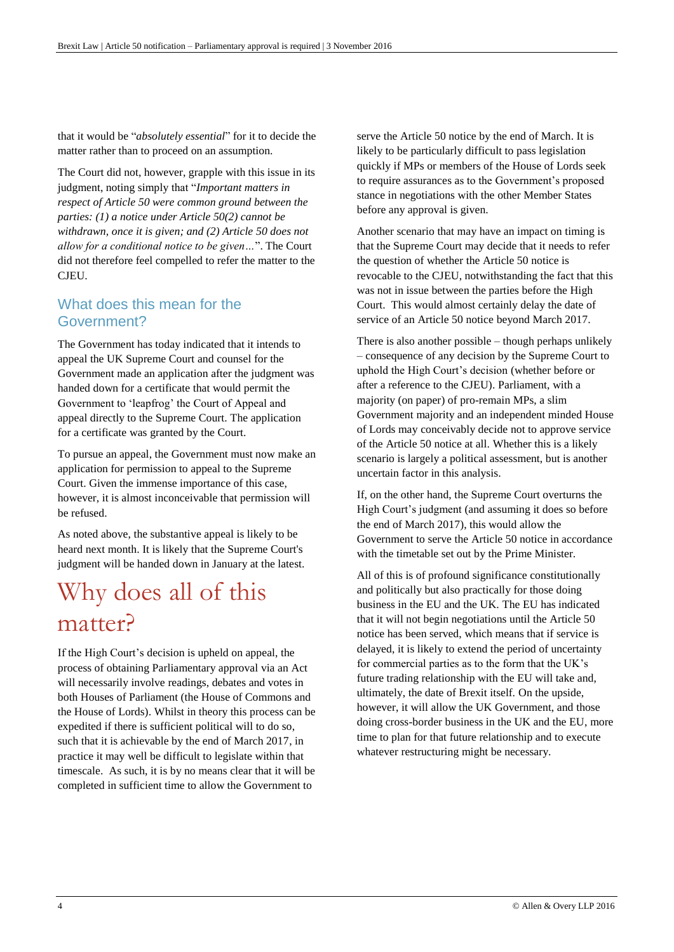that it would be "*absolutely essential*" for it to decide the matter rather than to proceed on an assumption.

The Court did not, however, grapple with this issue in its judgment, noting simply that "*Important matters in respect of Article 50 were common ground between the parties: (1) a notice under Article 50(2) cannot be withdrawn, once it is given; and (2) Article 50 does not allow for a conditional notice to be given…*". The Court did not therefore feel compelled to refer the matter to the CJEU.

#### What does this mean for the Government?

The Government has today indicated that it intends to appeal the UK Supreme Court and counsel for the Government made an application after the judgment was handed down for a certificate that would permit the Government to 'leapfrog' the Court of Appeal and appeal directly to the Supreme Court. The application for a certificate was granted by the Court.

To pursue an appeal, the Government must now make an application for permission to appeal to the Supreme Court. Given the immense importance of this case, however, it is almost inconceivable that permission will be refused.

As noted above, the substantive appeal is likely to be heard next month. It is likely that the Supreme Court's judgment will be handed down in January at the latest.

## Why does all of this matter?

If the High Court's decision is upheld on appeal, the process of obtaining Parliamentary approval via an Act will necessarily involve readings, debates and votes in both Houses of Parliament (the House of Commons and the House of Lords). Whilst in theory this process can be expedited if there is sufficient political will to do so, such that it is achievable by the end of March 2017, in practice it may well be difficult to legislate within that timescale. As such, it is by no means clear that it will be completed in sufficient time to allow the Government to

serve the Article 50 notice by the end of March. It is likely to be particularly difficult to pass legislation quickly if MPs or members of the House of Lords seek to require assurances as to the Government's proposed stance in negotiations with the other Member States before any approval is given.

Another scenario that may have an impact on timing is that the Supreme Court may decide that it needs to refer the question of whether the Article 50 notice is revocable to the CJEU, notwithstanding the fact that this was not in issue between the parties before the High Court. This would almost certainly delay the date of service of an Article 50 notice beyond March 2017.

There is also another possible – though perhaps unlikely – consequence of any decision by the Supreme Court to uphold the High Court's decision (whether before or after a reference to the CJEU). Parliament, with a majority (on paper) of pro-remain MPs, a slim Government majority and an independent minded House of Lords may conceivably decide not to approve service of the Article 50 notice at all. Whether this is a likely scenario is largely a political assessment, but is another uncertain factor in this analysis.

If, on the other hand, the Supreme Court overturns the High Court's judgment (and assuming it does so before the end of March 2017), this would allow the Government to serve the Article 50 notice in accordance with the timetable set out by the Prime Minister.

All of this is of profound significance constitutionally and politically but also practically for those doing business in the EU and the UK. The EU has indicated that it will not begin negotiations until the Article 50 notice has been served, which means that if service is delayed, it is likely to extend the period of uncertainty for commercial parties as to the form that the UK's future trading relationship with the EU will take and, ultimately, the date of Brexit itself. On the upside, however, it will allow the UK Government, and those doing cross-border business in the UK and the EU, more time to plan for that future relationship and to execute whatever restructuring might be necessary.